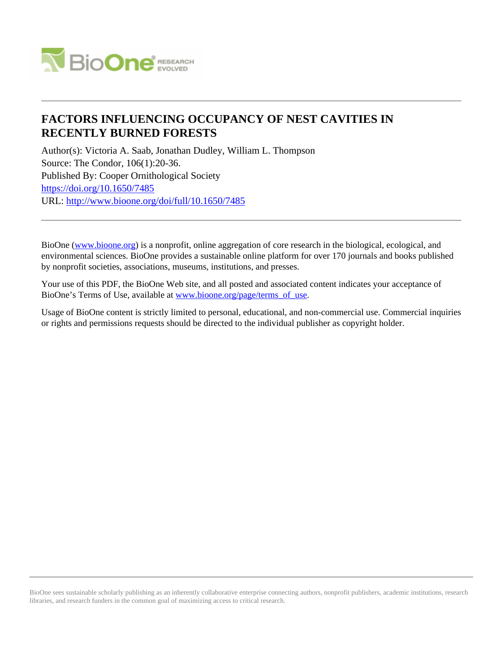

# **FACTORS INFLUENCING OCCUPANCY OF NEST CAVITIES IN RECENTLY BURNED FORESTS**

Author(s): Victoria A. Saab, Jonathan Dudley, William L. Thompson Source: The Condor, 106(1):20-36. Published By: Cooper Ornithological Society <https://doi.org/10.1650/7485> URL: <http://www.bioone.org/doi/full/10.1650/7485>

BioOne [\(www.bioone.org\)](http://www.bioone.org) is a nonprofit, online aggregation of core research in the biological, ecological, and environmental sciences. BioOne provides a sustainable online platform for over 170 journals and books published by nonprofit societies, associations, museums, institutions, and presses.

Your use of this PDF, the BioOne Web site, and all posted and associated content indicates your acceptance of BioOne's Terms of Use, available at [www.bioone.org/page/terms\\_of\\_use.](http://www.bioone.org/page/terms_of_use)

Usage of BioOne content is strictly limited to personal, educational, and non-commercial use. Commercial inquiries or rights and permissions requests should be directed to the individual publisher as copyright holder.

BioOne sees sustainable scholarly publishing as an inherently collaborative enterprise connecting authors, nonprofit publishers, academic institutions, research libraries, and research funders in the common goal of maximizing access to critical research.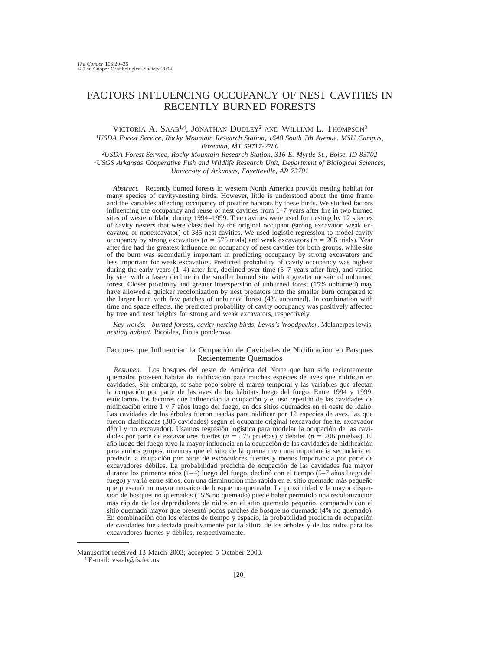# FACTORS INFLUENCING OCCUPANCY OF NEST CAVITIES IN RECENTLY BURNED FORESTS

VICTORIA A. SAAB<sup>1,4</sup>, JONATHAN DUDLEY<sup>2</sup> AND WILLIAM L. THOMPSON<sup>3</sup>

*1USDA Forest Service, Rocky Mountain Research Station, 1648 South 7th Avenue, MSU Campus, Bozeman, MT 59717-2780*

*2USDA Forest Service, Rocky Mountain Research Station, 316 E. Myrtle St., Boise, ID 83702 3USGS Arkansas Cooperative Fish and Wildlife Research Unit, Department of Biological Sciences, University of Arkansas, Fayetteville, AR 72701*

*Abstract.* Recently burned forests in western North America provide nesting habitat for many species of cavity-nesting birds. However, little is understood about the time frame and the variables affecting occupancy of postfire habitats by these birds. We studied factors influencing the occupancy and reuse of nest cavities from 1–7 years after fire in two burned sites of western Idaho during 1994–1999. Tree cavities were used for nesting by 12 species of cavity nesters that were classified by the original occupant (strong excavator, weak excavator, or nonexcavator) of 385 nest cavities. We used logistic regression to model cavity occupancy by strong excavators ( $n = 575$  trials) and weak excavators ( $n = 206$  trials). Year after fire had the greatest influence on occupancy of nest cavities for both groups, while site of the burn was secondarily important in predicting occupancy by strong excavators and less important for weak excavators. Predicted probability of cavity occupancy was highest during the early years (1–4) after fire, declined over time (5–7 years after fire), and varied by site, with a faster decline in the smaller burned site with a greater mosaic of unburned forest. Closer proximity and greater interspersion of unburned forest (15% unburned) may have allowed a quicker recolonization by nest predators into the smaller burn compared to the larger burn with few patches of unburned forest (4% unburned). In combination with time and space effects, the predicted probability of cavity occupancy was positively affected by tree and nest heights for strong and weak excavators, respectively.

*Key words: burned forests, cavity-nesting birds, Lewis's Woodpecker,* Melanerpes lewis*, nesting habitat,* Picoides*,* Pinus ponderosa*.*

# Factores que Influencian la Ocupación de Cavidades de Nidificación en Bosques Recientemente Quemados

Resumen. Los bosques del oeste de América del Norte que han sido recientemente quemados proveen hábitat de nidificación para muchas especies de aves que nidifican en cavidades. Sin embargo, se sabe poco sobre el marco temporal y las variables que afectan la ocupación por parte de las aves de los hábitats luego del fuego. Entre 1994 y 1999, estudiamos los factores que influencian la ocupación y el uso repetido de las cavidades de nidificación entre 1 y 7 años luego del fuego, en dos sitios quemados en el oeste de Idaho. Las cavidades de los árboles fueron usadas para nidificar por 12 especies de aves, las que fueron clasificadas (385 cavidades) según el ocupante original (excavador fuerte, excavador débil y no excavador). Usamos regresión logística para modelar la ocupación de las cavidades por parte de excavadores fuertes ( $n = 575$  pruebas) y débiles ( $n = 206$  pruebas). El año luego del fuego tuvo la mayor influencia en la ocupación de las cavidades de nidificación para ambos grupos, mientras que el sitio de la quema tuvo una importancia secundaria en predecir la ocupacio´n por parte de excavadores fuertes y menos importancia por parte de excavadores débiles. La probabilidad predicha de ocupación de las cavidades fue mayor durante los primeros años  $(1-4)$  luego del fuego, declinó con el tiempo  $(5-7)$  años luego del fuego) y varió entre sitios, con una disminución más rápida en el sitio quemado más pequeño que presentó un mayor mosaico de bosque no quemado. La proximidad y la mayor disper $s$ ión de bosques no quemados (15% no quemado) puede haber permitido una recolonización más rápida de los depredadores de nidos en el sitio quemado pequeño, comparado con el sitio quemado mayor que presentó pocos parches de bosque no quemado (4% no quemado). En combinación con los efectos de tiempo y espacio, la probabilidad predicha de ocupación de cavidades fue afectada positivamente por la altura de los a´rboles y de los nidos para los excavadores fuertes y débiles, respectivamente.

Manuscript received 13 March 2003; accepted 5 October 2003.

<sup>4</sup> E-mail: vsaab@fs.fed.us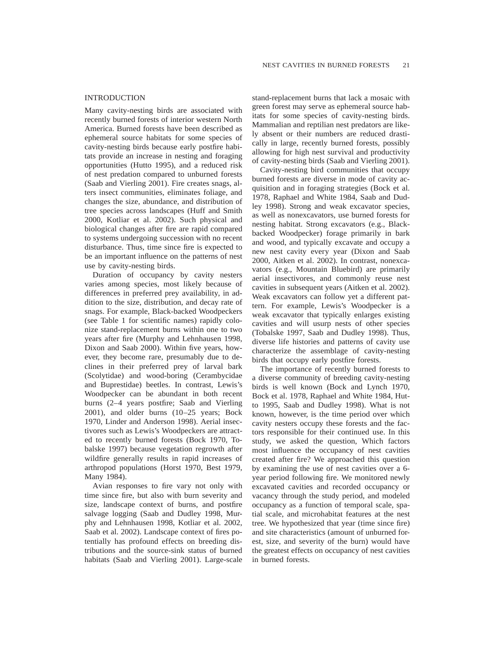# INTRODUCTION

Many cavity-nesting birds are associated with recently burned forests of interior western North America. Burned forests have been described as ephemeral source habitats for some species of cavity-nesting birds because early postfire habitats provide an increase in nesting and foraging opportunities (Hutto 1995), and a reduced risk of nest predation compared to unburned forests (Saab and Vierling 2001). Fire creates snags, alters insect communities, eliminates foliage, and changes the size, abundance, and distribution of tree species across landscapes (Huff and Smith 2000, Kotliar et al. 2002). Such physical and biological changes after fire are rapid compared to systems undergoing succession with no recent disturbance. Thus, time since fire is expected to be an important influence on the patterns of nest use by cavity-nesting birds.

Duration of occupancy by cavity nesters varies among species, most likely because of differences in preferred prey availability, in addition to the size, distribution, and decay rate of snags. For example, Black-backed Woodpeckers (see Table 1 for scientific names) rapidly colonize stand-replacement burns within one to two years after fire (Murphy and Lehnhausen 1998, Dixon and Saab 2000). Within five years, however, they become rare, presumably due to declines in their preferred prey of larval bark (Scolytidae) and wood-boring (Cerambycidae and Buprestidae) beetles. In contrast, Lewis's Woodpecker can be abundant in both recent burns (2–4 years postfire; Saab and Vierling 2001), and older burns (10–25 years; Bock 1970, Linder and Anderson 1998). Aerial insectivores such as Lewis's Woodpeckers are attracted to recently burned forests (Bock 1970, Tobalske 1997) because vegetation regrowth after wildfire generally results in rapid increases of arthropod populations (Horst 1970, Best 1979, Many 1984).

Avian responses to fire vary not only with time since fire, but also with burn severity and size, landscape context of burns, and postfire salvage logging (Saab and Dudley 1998, Murphy and Lehnhausen 1998, Kotliar et al. 2002, Saab et al. 2002). Landscape context of fires potentially has profound effects on breeding distributions and the source-sink status of burned habitats (Saab and Vierling 2001). Large-scale

stand-replacement burns that lack a mosaic with green forest may serve as ephemeral source habitats for some species of cavity-nesting birds. Mammalian and reptilian nest predators are likely absent or their numbers are reduced drastically in large, recently burned forests, possibly allowing for high nest survival and productivity of cavity-nesting birds (Saab and Vierling 2001).

Cavity-nesting bird communities that occupy burned forests are diverse in mode of cavity acquisition and in foraging strategies (Bock et al. 1978, Raphael and White 1984, Saab and Dudley 1998). Strong and weak excavator species, as well as nonexcavators, use burned forests for nesting habitat. Strong excavators (e.g., Blackbacked Woodpecker) forage primarily in bark and wood, and typically excavate and occupy a new nest cavity every year (Dixon and Saab 2000, Aitken et al. 2002). In contrast, nonexcavators (e.g., Mountain Bluebird) are primarily aerial insectivores, and commonly reuse nest cavities in subsequent years (Aitken et al. 2002). Weak excavators can follow yet a different pattern. For example, Lewis's Woodpecker is a weak excavator that typically enlarges existing cavities and will usurp nests of other species (Tobalske 1997, Saab and Dudley 1998). Thus, diverse life histories and patterns of cavity use characterize the assemblage of cavity-nesting birds that occupy early postfire forests.

The importance of recently burned forests to a diverse community of breeding cavity-nesting birds is well known (Bock and Lynch 1970, Bock et al. 1978, Raphael and White 1984, Hutto 1995, Saab and Dudley 1998). What is not known, however, is the time period over which cavity nesters occupy these forests and the factors responsible for their continued use. In this study, we asked the question, Which factors most influence the occupancy of nest cavities created after fire? We approached this question by examining the use of nest cavities over a 6 year period following fire. We monitored newly excavated cavities and recorded occupancy or vacancy through the study period, and modeled occupancy as a function of temporal scale, spatial scale, and microhabitat features at the nest tree. We hypothesized that year (time since fire) and site characteristics (amount of unburned forest, size, and severity of the burn) would have the greatest effects on occupancy of nest cavities in burned forests.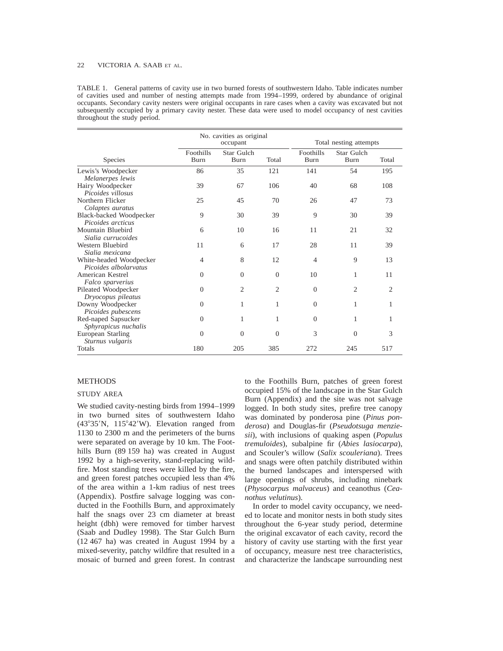TABLE 1. General patterns of cavity use in two burned forests of southwestern Idaho. Table indicates number of cavities used and number of nesting attempts made from 1994–1999, ordered by abundance of original occupants. Secondary cavity nesters were original occupants in rare cases when a cavity was excavated but not subsequently occupied by a primary cavity nester. These data were used to model occupancy of nest cavities throughout the study period.

|                         | No. cavities as original<br>occupant |                    |                |                          | Total nesting attempts    |                |  |
|-------------------------|--------------------------------------|--------------------|----------------|--------------------------|---------------------------|----------------|--|
| Species                 | Foothills<br>Burn                    | Star Gulch<br>Burn | Total          | Foothills<br><b>Burn</b> | Star Gulch<br><b>Burn</b> | Total          |  |
| Lewis's Woodpecker      | 86                                   | 35                 | 121            | 141                      | 54                        | 195            |  |
| Melanerpes lewis        |                                      |                    |                |                          |                           |                |  |
| Hairy Woodpecker        | 39                                   | 67                 | 106            | 40                       | 68                        | 108            |  |
| Picoides villosus       |                                      |                    |                |                          |                           |                |  |
| Northern Flicker        | 25                                   | 45                 | 70             | 26                       | 47                        | 73             |  |
| Colaptes auratus        |                                      |                    |                |                          |                           |                |  |
| Black-backed Woodpecker | 9                                    | 30                 | 39             | 9                        | 30                        | 39             |  |
| Picoides arcticus       |                                      |                    |                |                          |                           |                |  |
| Mountain Bluebird       | 6                                    | 10                 | 16             | 11                       | 21                        | 32             |  |
| Sialia currucoides      |                                      |                    |                |                          |                           |                |  |
| Western Bluebird        | 11                                   | 6                  | 17             | 28                       | 11                        | 39             |  |
| Sialia mexicana         |                                      |                    |                |                          |                           |                |  |
| White-headed Woodpecker | 4                                    | 8                  | 12             | 4                        | 9                         | 13             |  |
| Picoides albolaryatus   |                                      |                    |                |                          |                           |                |  |
| American Kestrel        | $\Omega$                             | $\Omega$           | $\Omega$       | 10                       | 1                         | 11             |  |
| Falco sparverius        |                                      |                    |                |                          |                           |                |  |
| Pileated Woodpecker     | $\mathbf{0}$                         | $\overline{c}$     | $\overline{2}$ | $\overline{0}$           | $\overline{c}$            | $\overline{c}$ |  |
| Dryocopus pileatus      |                                      |                    |                |                          |                           |                |  |
| Downy Woodpecker        | $\Omega$                             | 1                  | 1              | $\Omega$                 | 1                         | 1              |  |
| Picoides pubescens      |                                      |                    |                |                          |                           |                |  |
| Red-naped Sapsucker     | $\theta$                             | 1                  | 1              | $\overline{0}$           | 1                         |                |  |
| Sphyrapicus nuchalis    |                                      |                    |                |                          |                           |                |  |
| European Starling       | $\Omega$                             | $\Omega$           | $\Omega$       | 3                        | $\Omega$                  | 3              |  |
| Sturnus vulgaris        |                                      |                    |                |                          |                           |                |  |
| Totals                  | 180                                  | 205                | 385            | 272                      | 245                       | 517            |  |

# METHODS

#### STUDY AREA

We studied cavity-nesting birds from 1994–1999 in two burned sites of southwestern Idaho  $(43°35'N, 115°42'W)$ . Elevation ranged from 1130 to 2300 m and the perimeters of the burns were separated on average by 10 km. The Foothills Burn (89 159 ha) was created in August 1992 by a high-severity, stand-replacing wildfire. Most standing trees were killed by the fire, and green forest patches occupied less than 4% of the area within a 1-km radius of nest trees (Appendix). Postfire salvage logging was conducted in the Foothills Burn, and approximately half the snags over 23 cm diameter at breast height (dbh) were removed for timber harvest (Saab and Dudley 1998). The Star Gulch Burn (12 467 ha) was created in August 1994 by a mixed-severity, patchy wildfire that resulted in a mosaic of burned and green forest. In contrast to the Foothills Burn, patches of green forest occupied 15% of the landscape in the Star Gulch Burn (Appendix) and the site was not salvage logged. In both study sites, prefire tree canopy was dominated by ponderosa pine (*Pinus ponderosa*) and Douglas-fir (*Pseudotsuga menziesii*), with inclusions of quaking aspen (*Populus tremuloides*), subalpine fir (*Abies lasiocarpa*), and Scouler's willow (*Salix scouleriana*). Trees and snags were often patchily distributed within the burned landscapes and interspersed with large openings of shrubs, including ninebark (*Physocarpus malvaceus*) and ceanothus (*Ceanothus velutinus*).

In order to model cavity occupancy, we needed to locate and monitor nests in both study sites throughout the 6-year study period, determine the original excavator of each cavity, record the history of cavity use starting with the first year of occupancy, measure nest tree characteristics, and characterize the landscape surrounding nest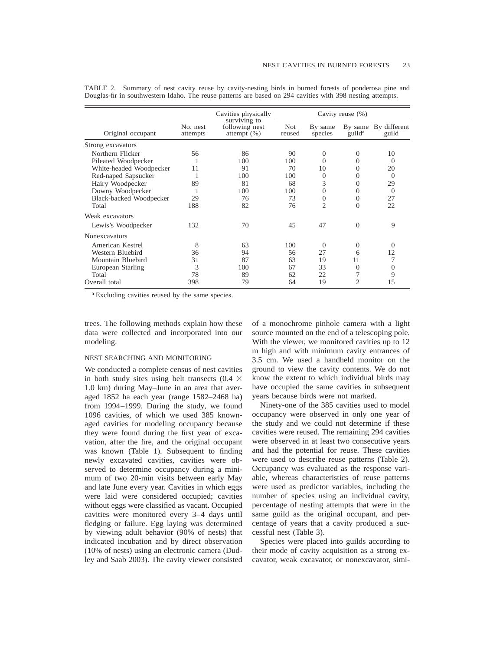|                         |                      | Cavities physically                              |                      | Cavity reuse (%)   |                    |                               |
|-------------------------|----------------------|--------------------------------------------------|----------------------|--------------------|--------------------|-------------------------------|
| Original occupant       | No. nest<br>attempts | surviving to<br>following nest<br>attempt $(\%)$ | <b>Not</b><br>reused | By same<br>species | guild <sup>a</sup> | By same By different<br>guild |
| Strong excavators       |                      |                                                  |                      |                    |                    |                               |
| Northern Flicker        | 56                   | 86                                               | 90                   | $\Omega$           | $\Omega$           | 10                            |
| Pileated Woodpecker     |                      | 100                                              | 100                  | 0                  | $\Omega$           | $\Omega$                      |
| White-headed Woodpecker | 11                   | 91                                               | 70                   | 10                 | $\Omega$           | 20                            |
| Red-naped Sapsucker     |                      | 100                                              | 100                  | $\Omega$           | $\Omega$           | $\Omega$                      |
| Hairy Woodpecker        | 89                   | 81                                               | 68                   | 3                  | 0                  | 29                            |
| Downy Woodpecker        |                      | 100                                              | 100                  | $\Omega$           | $\Omega$           | $\Omega$                      |
| Black-backed Woodpecker | 29                   | 76                                               | 73                   | $\Omega$           | $\Omega$           | 27                            |
| Total                   | 188                  | 82                                               | 76                   | $\overline{c}$     | $\Omega$           | 22                            |
| Weak excavators         |                      |                                                  |                      |                    |                    |                               |
| Lewis's Woodpecker      | 132                  | 70                                               | 45                   | 47                 | $\Omega$           | 9                             |
| <b>Nonexcavators</b>    |                      |                                                  |                      |                    |                    |                               |
| American Kestrel        | 8                    | 63                                               | 100                  | $\Omega$           | $\Omega$           | $\Omega$                      |
| Western Bluebird        | 36                   | 94                                               | 56                   | 27                 | 6                  | 12                            |
| Mountain Bluebird       | 31                   | 87                                               | 63                   | 19                 | 11                 |                               |
| European Starling       | 3                    | 100                                              | 67                   | 33                 | $\Omega$           | $\Omega$                      |
| Total                   | 78                   | 89                                               | 62                   | 22                 | 7                  | 9                             |
| Overall total           | 398                  | 79                                               | 64                   | 19                 | $\overline{c}$     | 15                            |

TABLE 2. Summary of nest cavity reuse by cavity-nesting birds in burned forests of ponderosa pine and Douglas-fir in southwestern Idaho. The reuse patterns are based on 294 cavities with 398 nesting attempts.

<sup>a</sup> Excluding cavities reused by the same species.

trees. The following methods explain how these data were collected and incorporated into our modeling.

#### NEST SEARCHING AND MONITORING

We conducted a complete census of nest cavities in both study sites using belt transects (0.4  $\times$ 1.0 km) during May–June in an area that averaged 1852 ha each year (range 1582–2468 ha) from 1994–1999. During the study, we found 1096 cavities, of which we used 385 knownaged cavities for modeling occupancy because they were found during the first year of excavation, after the fire, and the original occupant was known (Table 1). Subsequent to finding newly excavated cavities, cavities were observed to determine occupancy during a minimum of two 20-min visits between early May and late June every year. Cavities in which eggs were laid were considered occupied; cavities without eggs were classified as vacant. Occupied cavities were monitored every 3–4 days until fledging or failure. Egg laying was determined by viewing adult behavior (90% of nests) that indicated incubation and by direct observation (10% of nests) using an electronic camera (Dudley and Saab 2003). The cavity viewer consisted of a monochrome pinhole camera with a light source mounted on the end of a telescoping pole. With the viewer, we monitored cavities up to 12 m high and with minimum cavity entrances of 3.5 cm. We used a handheld monitor on the ground to view the cavity contents. We do not know the extent to which individual birds may have occupied the same cavities in subsequent years because birds were not marked.

Ninety-one of the 385 cavities used to model occupancy were observed in only one year of the study and we could not determine if these cavities were reused. The remaining 294 cavities were observed in at least two consecutive years and had the potential for reuse. These cavities were used to describe reuse patterns (Table 2). Occupancy was evaluated as the response variable, whereas characteristics of reuse patterns were used as predictor variables, including the number of species using an individual cavity, percentage of nesting attempts that were in the same guild as the original occupant, and percentage of years that a cavity produced a successful nest (Table 3).

Species were placed into guilds according to their mode of cavity acquisition as a strong excavator, weak excavator, or nonexcavator, simi-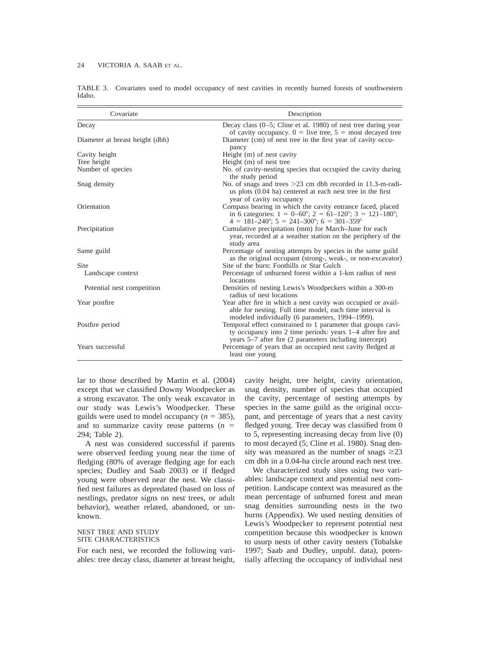| Covariate                       | Description                                                                                                                                                                                                                       |
|---------------------------------|-----------------------------------------------------------------------------------------------------------------------------------------------------------------------------------------------------------------------------------|
| Decay                           | Decay class $(0-5)$ ; Cline et al. 1980) of nest tree during year<br>of cavity occupancy. $0 =$ live tree, $5 =$ most decayed tree                                                                                                |
| Diameter at breast height (dbh) | Diameter (cm) of nest tree in the first year of cavity occu-<br>pancy                                                                                                                                                             |
| Cavity height                   | Height (m) of nest cavity                                                                                                                                                                                                         |
| Tree height                     | Height (m) of nest tree                                                                                                                                                                                                           |
| Number of species               | No. of cavity-nesting species that occupied the cavity during<br>the study period                                                                                                                                                 |
| Snag density                    | No. of snags and trees $>23$ cm dbh recorded in 11.3-m-radi-<br>us plots (0.04 ha) centered at each nest tree in the first<br>year of cavity occupancy                                                                            |
| Orientation                     | Compass bearing in which the cavity entrance faced, placed<br>in 6 categories: $1 = 0-60^{\circ}$ ; $2 = 61-120^{\circ}$ ; $3 = 121-180^{\circ}$ ;<br>$4 = 181 - 240^{\circ}$ ; $5 = 241 - 300^{\circ}$ ; $6 = 301 - 359^{\circ}$ |
| Precipitation                   | Cumulative precipitation (mm) for March-June for each<br>year, recorded at a weather station on the periphery of the<br>study area                                                                                                |
| Same guild                      | Percentage of nesting attempts by species in the same guild<br>as the original occupant (strong-, weak-, or non-excavator)                                                                                                        |
| Site                            | Site of the burn: Foothills or Star Gulch                                                                                                                                                                                         |
| Landscape context               | Percentage of unburned forest within a 1-km radius of nest<br>locations                                                                                                                                                           |
| Potential nest competition      | Densities of nesting Lewis's Woodpeckers within a 300-m<br>radius of nest locations                                                                                                                                               |
| Year postfire                   | Year after fire in which a nest cavity was occupied or avail-<br>able for nesting. Full time model, each time interval is<br>modeled individually (6 parameters, 1994–1999).                                                      |
| Postfire period                 | Temporal effect constrained to 1 parameter that groups cavi-<br>ty occupancy into 2 time periods: years 1–4 after fire and<br>years 5–7 after fire (2 parameters including intercept)                                             |
| Years successful                | Percentage of years that an occupied nest cavity fledged at<br>least one young                                                                                                                                                    |

TABLE 3. Covariates used to model occupancy of nest cavities in recently burned forests of southwestern Idaho.

lar to those described by Martin et al. (2004) except that we classified Downy Woodpecker as a strong excavator. The only weak excavator in our study was Lewis's Woodpecker. These guilds were used to model occupancy  $(n = 385)$ , and to summarize cavity reuse patterns  $(n =$ 294; Table 2).

A nest was considered successful if parents were observed feeding young near the time of fledging (80% of average fledging age for each species; Dudley and Saab 2003) or if fledged young were observed near the nest. We classified nest failures as depredated (based on loss of nestlings, predator signs on nest trees, or adult behavior), weather related, abandoned, or unknown.

### NEST TREE AND STUDY SITE CHARACTERISTICS

For each nest, we recorded the following variables: tree decay class, diameter at breast height, cavity height, tree height, cavity orientation, snag density, number of species that occupied the cavity, percentage of nesting attempts by species in the same guild as the original occupant, and percentage of years that a nest cavity fledged young. Tree decay was classified from 0 to 5, representing increasing decay from live (0) to most decayed (5; Cline et al. 1980). Snag density was measured as the number of snags  $\geq 23$ cm dbh in a 0.04-ha circle around each nest tree.

We characterized study sites using two variables: landscape context and potential nest competition. Landscape context was measured as the mean percentage of unburned forest and mean snag densities surrounding nests in the two burns (Appendix). We used nesting densities of Lewis's Woodpecker to represent potential nest competition because this woodpecker is known to usurp nests of other cavity nesters (Tobalske 1997; Saab and Dudley, unpubl. data), potentially affecting the occupancy of individual nest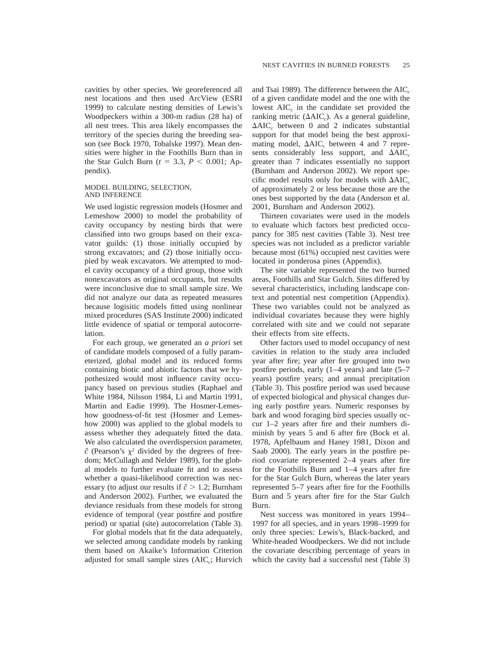cavities by other species. We georeferenced all nest locations and then used ArcView (ESRI 1999) to calculate nesting densities of Lewis's Woodpeckers within a 300-m radius (28 ha) of all nest trees. This area likely encompasses the territory of the species during the breeding season (see Bock 1970, Tobalske 1997). Mean densities were higher in the Foothills Burn than in the Star Gulch Burn ( $t = 3.3$ ,  $P < 0.001$ ; Appendix).

#### MODEL BUILDING, SELECTION, AND INFERENCE

We used logistic regression models (Hosmer and Lemeshow 2000) to model the probability of cavity occupancy by nesting birds that were classified into two groups based on their excavator guilds: (1) those initially occupied by strong excavators; and (2) those initially occupied by weak excavators. We attempted to model cavity occupancy of a third group, those with nonexcavators as original occupants, but results were inconclusive due to small sample size. We did not analyze our data as repeated measures because logisitic models fitted using nonlinear mixed procedures (SAS Institute 2000) indicated little evidence of spatial or temporal autocorrelation.

For each group, we generated an *a priori* set of candidate models composed of a fully parameterized, global model and its reduced forms containing biotic and abiotic factors that we hypothesized would most influence cavity occupancy based on previous studies (Raphael and White 1984, Nilsson 1984, Li and Martin 1991, Martin and Eadie 1999). The Hosmer-Lemeshow goodness-of-fit test (Hosmer and Lemeshow 2000) was applied to the global models to assess whether they adequately fitted the data. We also calculated the overdispersion parameter,  $\hat{c}$  (Pearson's  $\chi^2$  divided by the degrees of freedom; McCullagh and Nelder 1989), for the global models to further evaluate fit and to assess whether a quasi-likelihood correction was necessary (to adjust our results if  $\hat{c} > 1.2$ ; Burnham and Anderson 2002). Further, we evaluated the deviance residuals from these models for strong evidence of temporal (year postfire and postfire period) or spatial (site) autocorrelation (Table 3).

For global models that fit the data adequately, we selected among candidate models by ranking them based on Akaike's Information Criterion adjusted for small sample sizes (AIC*c*; Hurvich and Tsai 1989). The difference between the AIC<sub>c</sub> of a given candidate model and the one with the lowest AIC<sub>c</sub> in the candidate set provided the ranking metric  $(\Delta AIC_c)$ . As a general guideline,  $\Delta AIC_c$  between 0 and 2 indicates substantial support for that model being the best approximating model,  $\Delta AIC_c$  between 4 and 7 represents considerably less support, and  $\Delta AIC_c$ greater than 7 indicates essentially no support (Burnham and Anderson 2002). We report specific model results only for models with  $\Delta AIC_c$ of approximately 2 or less because those are the ones best supported by the data (Anderson et al. 2001, Burnham and Anderson 2002).

Thirteen covariates were used in the models to evaluate which factors best predicted occupancy for 385 nest cavities (Table 3). Nest tree species was not included as a predictor variable because most (61%) occupied nest cavities were located in ponderosa pines (Appendix).

The site variable represented the two burned areas, Foothills and Star Gulch. Sites differed by several characteristics, including landscape context and potential nest competition (Appendix). These two variables could not be analyzed as individual covariates because they were highly correlated with site and we could not separate their effects from site effects.

Other factors used to model occupancy of nest cavities in relation to the study area included year after fire; year after fire grouped into two postfire periods, early (1–4 years) and late (5–7 years) postfire years; and annual precipitation (Table 3). This postfire period was used because of expected biological and physical changes during early postfire years. Numeric responses by bark and wood foraging bird species usually occur 1–2 years after fire and their numbers diminish by years 5 and 6 after fire (Bock et al. 1978, Apfelbaum and Haney 1981, Dixon and Saab 2000). The early years in the postfire period covariate represented 2–4 years after fire for the Foothills Burn and 1–4 years after fire for the Star Gulch Burn, whereas the later years represented 5–7 years after fire for the Foothills Burn and 5 years after fire for the Star Gulch Burn.

Nest success was monitored in years 1994– 1997 for all species, and in years 1998–1999 for only three species: Lewis's, Black-backed, and White-headed Woodpeckers. We did not include the covariate describing percentage of years in which the cavity had a successful nest (Table 3)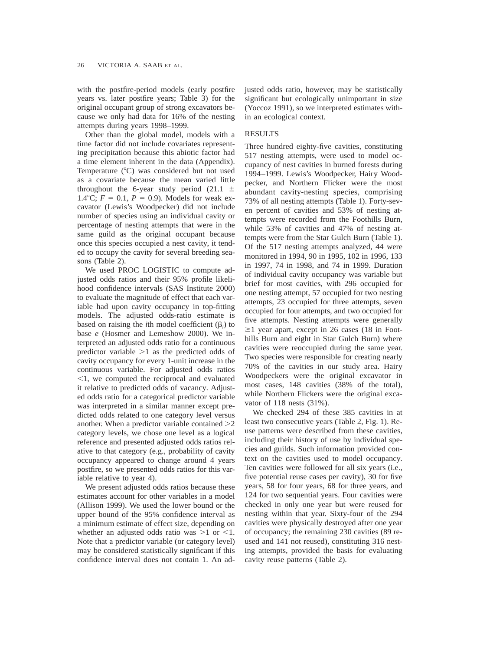with the postfire-period models (early postfire years vs. later postfire years; Table 3) for the original occupant group of strong excavators because we only had data for 16% of the nesting attempts during years 1998–1999.

Other than the global model, models with a time factor did not include covariates representing precipitation because this abiotic factor had a time element inherent in the data (Appendix). Temperature  $(^{\circ}C)$  was considered but not used as a covariate because the mean varied little throughout the 6-year study period  $(21.1 \pm$ 1.4°C;  $F = 0.1$ ,  $P = 0.9$ ). Models for weak excavator (Lewis's Woodpecker) did not include number of species using an individual cavity or percentage of nesting attempts that were in the same guild as the original occupant because once this species occupied a nest cavity, it tended to occupy the cavity for several breeding seasons (Table 2).

We used PROC LOGISTIC to compute adjusted odds ratios and their 95% profile likelihood confidence intervals (SAS Institute 2000) to evaluate the magnitude of effect that each variable had upon cavity occupancy in top-fitting models. The adjusted odds-ratio estimate is based on raising the *i*th model coefficient  $(\beta_i)$  to base *e* (Hosmer and Lemeshow 2000). We interpreted an adjusted odds ratio for a continuous predictor variable  $>1$  as the predicted odds of cavity occupancy for every 1-unit increase in the continuous variable. For adjusted odds ratios  $\leq$ 1, we computed the reciprocal and evaluated it relative to predicted odds of vacancy. Adjusted odds ratio for a categorical predictor variable was interpreted in a similar manner except predicted odds related to one category level versus another. When a predictor variable contained  $>2$ category levels, we chose one level as a logical reference and presented adjusted odds ratios relative to that category (e.g., probability of cavity occupancy appeared to change around 4 years postfire, so we presented odds ratios for this variable relative to year 4).

We present adjusted odds ratios because these estimates account for other variables in a model (Allison 1999). We used the lower bound or the upper bound of the 95% confidence interval as a minimum estimate of effect size, depending on whether an adjusted odds ratio was  $>1$  or  $<1$ . Note that a predictor variable (or category level) may be considered statistically significant if this confidence interval does not contain 1. An adjusted odds ratio, however, may be statistically significant but ecologically unimportant in size (Yoccoz 1991), so we interpreted estimates within an ecological context.

# RESULTS

Three hundred eighty-five cavities, constituting 517 nesting attempts, were used to model occupancy of nest cavities in burned forests during 1994–1999. Lewis's Woodpecker, Hairy Woodpecker, and Northern Flicker were the most abundant cavity-nesting species, comprising 73% of all nesting attempts (Table 1). Forty-seven percent of cavities and 53% of nesting attempts were recorded from the Foothills Burn, while 53% of cavities and 47% of nesting attempts were from the Star Gulch Burn (Table 1). Of the 517 nesting attempts analyzed, 44 were monitored in 1994, 90 in 1995, 102 in 1996, 133 in 1997, 74 in 1998, and 74 in 1999. Duration of individual cavity occupancy was variable but brief for most cavities, with 296 occupied for one nesting attempt, 57 occupied for two nesting attempts, 23 occupied for three attempts, seven occupied for four attempts, and two occupied for five attempts. Nesting attempts were generally  $\geq$ 1 year apart, except in 26 cases (18 in Foothills Burn and eight in Star Gulch Burn) where cavities were reoccupied during the same year. Two species were responsible for creating nearly 70% of the cavities in our study area. Hairy Woodpeckers were the original excavator in most cases, 148 cavities (38% of the total), while Northern Flickers were the original excavator of 118 nests (31%).

We checked 294 of these 385 cavities in at least two consecutive years (Table 2, Fig. 1). Reuse patterns were described from these cavities, including their history of use by individual species and guilds. Such information provided context on the cavities used to model occupancy. Ten cavities were followed for all six years (i.e., five potential reuse cases per cavity), 30 for five years, 58 for four years, 68 for three years, and 124 for two sequential years. Four cavities were checked in only one year but were reused for nesting within that year. Sixty-four of the 294 cavities were physically destroyed after one year of occupancy; the remaining 230 cavities (89 reused and 141 not reused), constituting 316 nesting attempts, provided the basis for evaluating cavity reuse patterns (Table 2).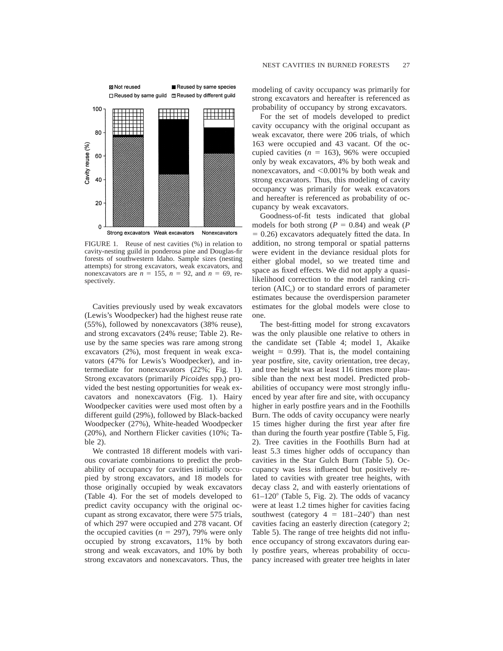

FIGURE 1. Reuse of nest cavities (%) in relation to cavity-nesting guild in ponderosa pine and Douglas-fir forests of southwestern Idaho. Sample sizes (nesting attempts) for strong excavators, weak excavators, and nonexcavators are  $n = 155$ ,  $n = 92$ , and  $n = 69$ , respectively.

Cavities previously used by weak excavators (Lewis's Woodpecker) had the highest reuse rate (55%), followed by nonexcavators (38% reuse), and strong excavators (24% reuse; Table 2). Reuse by the same species was rare among strong excavators (2%), most frequent in weak excavators (47% for Lewis's Woodpecker), and intermediate for nonexcavators (22%; Fig. 1). Strong excavators (primarily *Picoides* spp.) provided the best nesting opportunities for weak excavators and nonexcavators (Fig. 1). Hairy Woodpecker cavities were used most often by a different guild (29%), followed by Black-backed Woodpecker (27%), White-headed Woodpecker (20%), and Northern Flicker cavities (10%; Table 2).

We contrasted 18 different models with various covariate combinations to predict the probability of occupancy for cavities initially occupied by strong excavators, and 18 models for those originally occupied by weak excavators (Table 4). For the set of models developed to predict cavity occupancy with the original occupant as strong excavator, there were 575 trials, of which 297 were occupied and 278 vacant. Of the occupied cavities  $(n = 297)$ , 79% were only occupied by strong excavators, 11% by both strong and weak excavators, and 10% by both strong excavators and nonexcavators. Thus, the

modeling of cavity occupancy was primarily for strong excavators and hereafter is referenced as probability of occupancy by strong excavators.

For the set of models developed to predict cavity occupancy with the original occupant as weak excavator, there were 206 trials, of which 163 were occupied and 43 vacant. Of the occupied cavities  $(n = 163)$ , 96% were occupied only by weak excavators, 4% by both weak and nonexcavators, and  $< 0.001\%$  by both weak and strong excavators. Thus, this modeling of cavity occupancy was primarily for weak excavators and hereafter is referenced as probability of occupancy by weak excavators.

Goodness-of-fit tests indicated that global models for both strong ( $P = 0.84$ ) and weak ( $P$  $= 0.26$ ) excavators adequately fitted the data. In addition, no strong temporal or spatial patterns were evident in the deviance residual plots for either global model, so we treated time and space as fixed effects. We did not apply a quasilikelihood correction to the model ranking criterion (AIC*c*) or to standard errors of parameter estimates because the overdispersion parameter estimates for the global models were close to one.

The best-fitting model for strong excavators was the only plausible one relative to others in the candidate set (Table 4; model 1, Akaike weight  $= 0.99$ ). That is, the model containing year postfire, site, cavity orientation, tree decay, and tree height was at least 116 times more plausible than the next best model. Predicted probabilities of occupancy were most strongly influenced by year after fire and site, with occupancy higher in early postfire years and in the Foothills Burn. The odds of cavity occupancy were nearly 15 times higher during the first year after fire than during the fourth year postfire (Table 5, Fig. 2). Tree cavities in the Foothills Burn had at least 5.3 times higher odds of occupancy than cavities in the Star Gulch Burn (Table 5). Occupancy was less influenced but positively related to cavities with greater tree heights, with decay class 2, and with easterly orientations of  $61-120^\circ$  (Table 5, Fig. 2). The odds of vacancy were at least 1.2 times higher for cavities facing southwest (category  $4 = 181-240^{\circ}$ ) than nest cavities facing an easterly direction (category 2; Table 5). The range of tree heights did not influence occupancy of strong excavators during early postfire years, whereas probability of occupancy increased with greater tree heights in later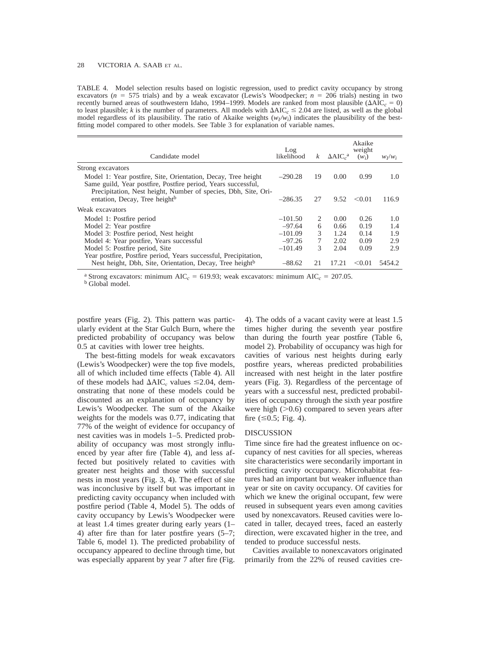TABLE 4. Model selection results based on logistic regression, used to predict cavity occupancy by strong excavators ( $n = 575$  trials) and by a weak excavator (Lewis's Woodpecker;  $n = 206$  trials) nesting in two recently burned areas of southwestern Idaho, 1994–1999. Models are ranked from most plausible ( $\Delta AIC_c = 0$ ) to least plausible; *k* is the number of parameters. All models with  $\Delta AIC_c \leq 2.04$  are listed, as well as the global model regardless of its plausibility. The ratio of Akaike weights  $(w_l/w_i)$  indicates the plausibility of the bestfitting model compared to other models. See Table 3 for explanation of variable names.

| Candidate model                                                                                                                | Log<br>likelihood | k  | $\Delta AIC_c^a$ | Akaike<br>weight<br>$(w_i)$ | $W_I/W_i$ |
|--------------------------------------------------------------------------------------------------------------------------------|-------------------|----|------------------|-----------------------------|-----------|
| Strong excavators                                                                                                              |                   |    |                  |                             |           |
| Model 1: Year postfire, Site, Orientation, Decay, Tree height<br>Same guild, Year postfire, Postfire period, Years successful, | $-290.28$         | 19 | 0.00             | 0.99                        | 1.0       |
| Precipitation, Nest height, Number of species, Dbh, Site, Ori-<br>entation, Decay, Tree height <sup>b</sup>                    | $-286.35$         | 27 | 9.52             | < 0.01                      | 116.9     |
| Weak excavators                                                                                                                |                   |    |                  |                             |           |
| Model 1: Postfire period                                                                                                       | $-101.50$         | 2  | 0.00             | 0.26                        | 1.0       |
| Model 2: Year postfire                                                                                                         | $-97.64$          | 6  | 0.66             | 0.19                        | 1.4       |
| Model 3: Postfire period, Nest height                                                                                          | $-101.09$         | 3  | 1.24             | 0.14                        | 1.9       |
| Model 4: Year postfire, Years successful                                                                                       | $-97.26$          | 7  | 2.02             | 0.09                        | 2.9       |
| Model 5: Postfire period, Site                                                                                                 | $-101.49$         | 3  | 2.04             | 0.09                        | 2.9       |
| Year postfire, Postfire period, Years successful, Precipitation,                                                               |                   |    |                  |                             |           |
| Nest height, Dbh, Site, Orientation, Decay, Tree height <sup>b</sup>                                                           | $-88.62$          | 21 | 17.21            | < 0.01                      | 5454.2    |

<sup>a</sup> Strong excavators: minimum AIC<sub>*c*</sub> = 619.93; weak excavators: minimum AIC<sub>*c*</sub> = 207.05. b Global model.

postfire years (Fig. 2). This pattern was particularly evident at the Star Gulch Burn, where the predicted probability of occupancy was below 0.5 at cavities with lower tree heights.

The best-fitting models for weak excavators (Lewis's Woodpecker) were the top five models, all of which included time effects (Table 4). All of these models had  $\Delta AIC_c$  values  $\leq 2.04$ , demonstrating that none of these models could be discounted as an explanation of occupancy by Lewis's Woodpecker. The sum of the Akaike weights for the models was 0.77, indicating that 77% of the weight of evidence for occupancy of nest cavities was in models 1–5. Predicted probability of occupancy was most strongly influenced by year after fire (Table 4), and less affected but positively related to cavities with greater nest heights and those with successful nests in most years (Fig. 3, 4). The effect of site was inconclusive by itself but was important in predicting cavity occupancy when included with postfire period (Table 4, Model 5). The odds of cavity occupancy by Lewis's Woodpecker were at least 1.4 times greater during early years (1– 4) after fire than for later postfire years (5–7; Table 6, model 1). The predicted probability of occupancy appeared to decline through time, but was especially apparent by year 7 after fire (Fig. 4). The odds of a vacant cavity were at least 1.5 times higher during the seventh year postfire than during the fourth year postfire (Table 6, model 2). Probability of occupancy was high for cavities of various nest heights during early postfire years, whereas predicted probabilities increased with nest height in the later postfire years (Fig. 3). Regardless of the percentage of years with a successful nest, predicted probabilities of occupancy through the sixth year postfire were high  $(>0.6)$  compared to seven years after fire  $( \le 0.5;$  Fig. 4).

#### DISCUSSION

Time since fire had the greatest influence on occupancy of nest cavities for all species, whereas site characteristics were secondarily important in predicting cavity occupancy. Microhabitat features had an important but weaker influence than year or site on cavity occupancy. Of cavities for which we knew the original occupant, few were reused in subsequent years even among cavities used by nonexcavators. Reused cavities were located in taller, decayed trees, faced an easterly direction, were excavated higher in the tree, and tended to produce successful nests.

Cavities available to nonexcavators originated primarily from the 22% of reused cavities cre-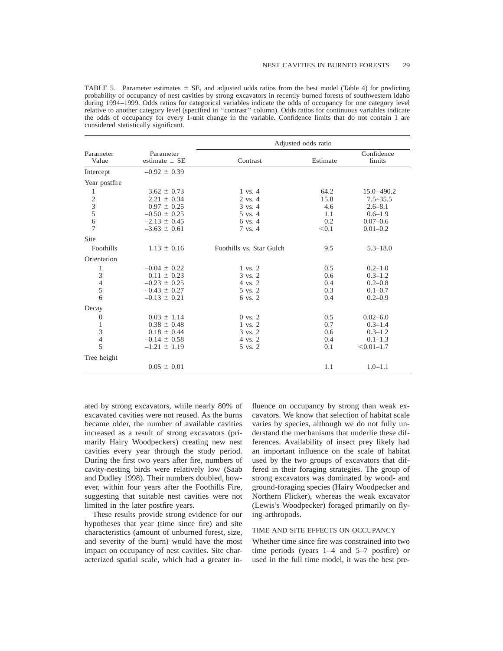| TABLE 5. Parameter estimates $\pm$ SE, and adjusted odds ratios from the best model (Table 4) for predicting       |
|--------------------------------------------------------------------------------------------------------------------|
| probability of occupancy of nest cavities by strong excavators in recently burned forests of southwestern Idaho    |
| during 1994–1999. Odds ratios for categorical variables indicate the odds of occupancy for one category level      |
| relative to another category level (specified in "contrast" column). Odds ratios for continuous variables indicate |
| the odds of occupancy for every 1-unit change in the variable. Confidence limits that do not contain 1 are         |
| considered statistically significant.                                                                              |

|                                            |                                | Adjusted odds ratio      |          |                      |
|--------------------------------------------|--------------------------------|--------------------------|----------|----------------------|
| Parameter<br>Value                         | Parameter<br>estimate $\pm$ SE | Contrast                 | Estimate | Confidence<br>limits |
| Intercept                                  | $-0.92 \pm 0.39$               |                          |          |                      |
| Year postfire                              |                                |                          |          |                      |
| 1                                          | $3.62 \pm 0.73$                | $1 \text{ vs. } 4$       | 64.2     | $15.0 - 490.2$       |
|                                            | $2.21 \pm 0.34$                | 2 vs. 4                  | 15.8     | $7.5 - 35.5$         |
| $\begin{array}{c} 2 \\ 3 \\ 5 \end{array}$ | $0.97 \pm 0.25$                | 3 vs. 4                  | 4.6      | $2.6 - 8.1$          |
|                                            | $-0.50 \pm 0.25$               | 5 vs. 4                  | 1.1      | $0.6 - 1.9$          |
| 6                                          | $-2.13 \pm 0.45$               | 6 vs. 4                  | 0.2      | $0.07 - 0.6$         |
| $\overline{7}$                             | $-3.63 \pm 0.61$               | 7 vs. 4                  | < 0.1    | $0.01 - 0.2$         |
| Site                                       |                                |                          |          |                      |
| Foothills                                  | $1.13 \pm 0.16$                | Foothills vs. Star Gulch | 9.5      | $5.3 - 18.0$         |
| Orientation                                |                                |                          |          |                      |
| 1                                          | $-0.04 \pm 0.22$               | $1 \text{ vs. } 2$       | 0.5      | $0.2 - 1.0$          |
| 3                                          | $0.11 \pm 0.23$                | 3 vs. 2                  | 0.6      | $0.3 - 1.2$          |
| $\overline{4}$                             | $-0.23 \pm 0.25$               | 4 vs. 2                  | 0.4      | $0.2 - 0.8$          |
| 5                                          | $-0.43 \pm 0.27$               | 5 vs. 2                  | 0.3      | $0.1 - 0.7$          |
| 6                                          | $-0.13 \pm 0.21$               | 6 vs. 2                  | 0.4      | $0.2 - 0.9$          |
| Decay                                      |                                |                          |          |                      |
| $\theta$                                   | $0.03 \pm 1.14$                | $0 \text{ vs. } 2$       | 0.5      | $0.02 - 6.0$         |
| 1                                          | $0.38 \pm 0.48$                | $1 \text{ vs. } 2$       | 0.7      | $0.3 - 1.4$          |
| 3                                          | $0.18 \pm 0.44$                | 3 vs. 2                  | 0.6      | $0.3 - 1.2$          |
| $\overline{4}$                             | $-0.14 \pm 0.58$               | 4 vs. 2                  | 0.4      | $0.1 - 1.3$          |
| 5                                          | $-1.21 \pm 1.19$               | 5 vs. 2                  | 0.1      | $< 0.01 - 1.7$       |
| Tree height                                |                                |                          |          |                      |
|                                            | $0.05 \pm 0.01$                |                          | 1.1      | $1.0 - 1.1$          |

ated by strong excavators, while nearly 80% of excavated cavities were not reused. As the burns became older, the number of available cavities increased as a result of strong excavators (primarily Hairy Woodpeckers) creating new nest cavities every year through the study period. During the first two years after fire, numbers of cavity-nesting birds were relatively low (Saab and Dudley 1998). Their numbers doubled, however, within four years after the Foothills Fire, suggesting that suitable nest cavities were not limited in the later postfire years.

These results provide strong evidence for our hypotheses that year (time since fire) and site characteristics (amount of unburned forest, size, and severity of the burn) would have the most impact on occupancy of nest cavities. Site characterized spatial scale, which had a greater influence on occupancy by strong than weak excavators. We know that selection of habitat scale varies by species, although we do not fully understand the mechanisms that underlie these differences. Availability of insect prey likely had an important influence on the scale of habitat used by the two groups of excavators that differed in their foraging strategies. The group of strong excavators was dominated by wood- and ground-foraging species (Hairy Woodpecker and Northern Flicker), whereas the weak excavator (Lewis's Woodpecker) foraged primarily on flying arthropods.

#### TIME AND SITE EFFECTS ON OCCUPANCY

Whether time since fire was constrained into two time periods (years 1–4 and 5–7 postfire) or used in the full time model, it was the best pre-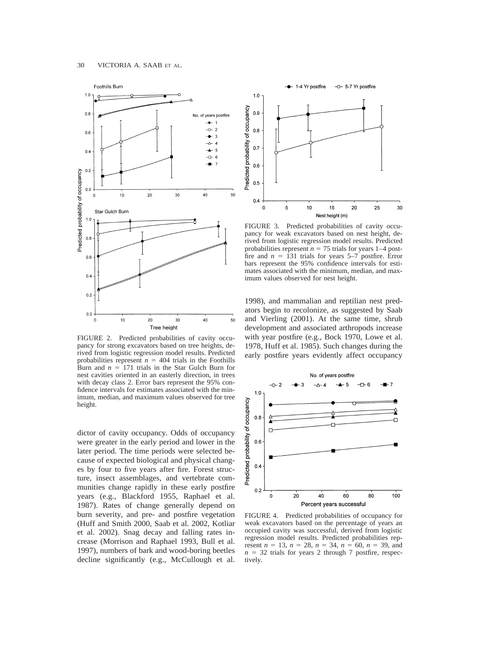

FIGURE 2. Predicted probabilities of cavity occupancy for strong excavators based on tree heights, derived from logistic regression model results. Predicted probabilities represent  $n = 404$  trials in the Foothills Burn and  $n = 171$  trials in the Star Gulch Burn for nest cavities oriented in an easterly direction, in trees with decay class 2. Error bars represent the 95% confidence intervals for estimates associated with the minimum, median, and maximum values observed for tree height.

dictor of cavity occupancy. Odds of occupancy were greater in the early period and lower in the later period. The time periods were selected because of expected biological and physical changes by four to five years after fire. Forest structure, insect assemblages, and vertebrate communities change rapidly in these early postfire years (e.g., Blackford 1955, Raphael et al. 1987). Rates of change generally depend on burn severity, and pre- and postfire vegetation (Huff and Smith 2000, Saab et al. 2002, Kotliar et al. 2002). Snag decay and falling rates increase (Morrison and Raphael 1993, Bull et al. 1997), numbers of bark and wood-boring beetles decline significantly (e.g., McCullough et al.



FIGURE 3. Predicted probabilities of cavity occupancy for weak excavators based on nest height, derived from logistic regression model results. Predicted probabilities represent  $n = 75$  trials for years 1–4 postfire and  $n = 131$  trials for years 5–7 postfire. Error bars represent the 95% confidence intervals for estimates associated with the minimum, median, and maximum values observed for nest height.

1998), and mammalian and reptilian nest predators begin to recolonize, as suggested by Saab and Vierling (2001). At the same time, shrub development and associated arthropods increase with year postfire (e.g., Bock 1970, Lowe et al. 1978, Huff et al. 1985). Such changes during the early postfire years evidently affect occupancy



FIGURE 4. Predicted probabilities of occupancy for weak excavators based on the percentage of years an occupied cavity was successful, derived from logistic regression model results. Predicted probabilities represent  $n = 13$ ,  $n = 28$ ,  $n = 34$ ,  $n = 60$ ,  $n = 39$ , and  $n = 32$  trials for years 2 through 7 postfire, respectively.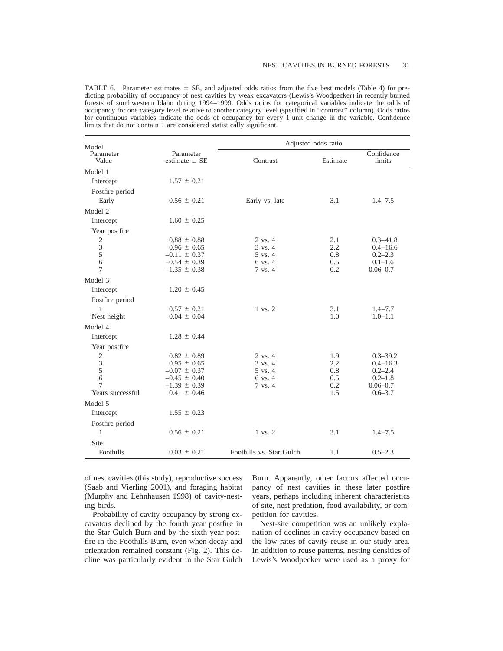TABLE 6. Parameter estimates  $\pm$  SE, and adjusted odds ratios from the five best models (Table 4) for predicting probability of occupancy of nest cavities by weak excavators (Lewis's Woodpecker) in recently burned forests of southwestern Idaho during 1994–1999. Odds ratios for categorical variables indicate the odds of occupancy for one category level relative to another category level (specified in ''contrast'' column). Odds ratios for continuous variables indicate the odds of occupancy for every 1-unit change in the variable. Confidence limits that do not contain 1 are considered statistically significant.

| Model              |                                | Adjusted odds ratio      |          |                      |  |
|--------------------|--------------------------------|--------------------------|----------|----------------------|--|
| Parameter<br>Value | Parameter<br>estimate $\pm$ SE | Contrast                 | Estimate | Confidence<br>limits |  |
| Model 1            |                                |                          |          |                      |  |
| Intercept          | $1.57 \pm 0.21$                |                          |          |                      |  |
| Postfire period    |                                |                          |          |                      |  |
| Early              | $0.56 \pm 0.21$                | Early vs. late           | 3.1      | $1.4 - 7.5$          |  |
| Model 2            |                                |                          |          |                      |  |
| Intercept          | $1.60 \pm 0.25$                |                          |          |                      |  |
| Year postfire      |                                |                          |          |                      |  |
| $\sqrt{2}$         | $0.88 \pm 0.88$                | $2 \text{ vs. } 4$       | 2.1      | $0.3 - 41.8$         |  |
| $\mathfrak{Z}$     | $0.96 \pm 0.65$                | $3 \text{ vs. } 4$       | 2.2      | $0.4 - 16.6$         |  |
| 5                  | $-0.11 \pm 0.37$               | 5 vs. 4                  | 0.8      | $0.2 - 2.3$          |  |
| 6                  | $-0.54 \pm 0.39$               | $6 \text{ vs. } 4$       | 0.5      | $0.1 - 1.6$          |  |
| 7                  | $-1.35 \pm 0.38$               | 7 vs. 4                  | 0.2      | $0.06 - 0.7$         |  |
| Model 3            |                                |                          |          |                      |  |
| Intercept          | $1.20 \pm 0.45$                |                          |          |                      |  |
| Postfire period    |                                |                          |          |                      |  |
| $\mathbf{1}$       | $0.57 \pm 0.21$                | 1 vs. 2                  | 3.1      | $1.4 - 7.7$          |  |
| Nest height        | $0.04 \pm 0.04$                |                          | 1.0      | $1.0 - 1.1$          |  |
| Model 4            |                                |                          |          |                      |  |
| Intercept          | $1.28 \pm 0.44$                |                          |          |                      |  |
| Year postfire      |                                |                          |          |                      |  |
| $\sqrt{2}$         | $0.82 \pm 0.89$                | $2 \text{ vs. } 4$       | 1.9      | $0.3 - 39.2$         |  |
| 3                  | $0.95 \pm 0.65$                | $3 \text{ vs. } 4$       | 2.2      | $0.4 - 16.3$         |  |
| 5                  | $-0.07 \pm 0.37$               | 5 vs. 4                  | 0.8      | $0.2 - 2.4$          |  |
| 6                  | $-0.45 \pm 0.40$               | 6 vs. 4                  | 0.5      | $0.2 - 1.8$          |  |
| 7                  | $-1.39 \pm 0.39$               | 7 vs. 4                  | 0.2      | $0.06 - 0.7$         |  |
| Years successful   | $0.41 \pm 0.46$                |                          | 1.5      | $0.6 - 3.7$          |  |
| Model 5            |                                |                          |          |                      |  |
| Intercept          | $1.55 \pm 0.23$                |                          |          |                      |  |
| Postfire period    |                                |                          |          |                      |  |
| $\mathbf{1}$       | $0.56 \pm 0.21$                | 1 vs. 2                  | 3.1      | $1.4 - 7.5$          |  |
| Site               |                                |                          |          |                      |  |
| Foothills          | $0.03 \pm 0.21$                | Foothills vs. Star Gulch | 1.1      | $0.5 - 2.3$          |  |

of nest cavities (this study), reproductive success (Saab and Vierling 2001), and foraging habitat (Murphy and Lehnhausen 1998) of cavity-nesting birds.

Probability of cavity occupancy by strong excavators declined by the fourth year postfire in the Star Gulch Burn and by the sixth year postfire in the Foothills Burn, even when decay and orientation remained constant (Fig. 2). This decline was particularly evident in the Star Gulch Burn. Apparently, other factors affected occupancy of nest cavities in these later postfire years, perhaps including inherent characteristics of site, nest predation, food availability, or competition for cavities.

Nest-site competition was an unlikely explanation of declines in cavity occupancy based on the low rates of cavity reuse in our study area. In addition to reuse patterns, nesting densities of Lewis's Woodpecker were used as a proxy for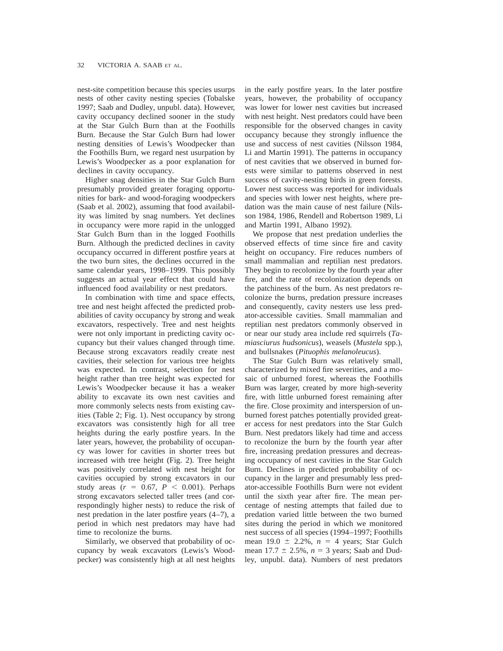nest-site competition because this species usurps nests of other cavity nesting species (Tobalske 1997; Saab and Dudley, unpubl. data). However, cavity occupancy declined sooner in the study at the Star Gulch Burn than at the Foothills Burn. Because the Star Gulch Burn had lower nesting densities of Lewis's Woodpecker than the Foothills Burn, we regard nest usurpation by Lewis's Woodpecker as a poor explanation for declines in cavity occupancy.

Higher snag densities in the Star Gulch Burn presumably provided greater foraging opportunities for bark- and wood-foraging woodpeckers (Saab et al. 2002), assuming that food availability was limited by snag numbers. Yet declines in occupancy were more rapid in the unlogged Star Gulch Burn than in the logged Foothills Burn. Although the predicted declines in cavity occupancy occurred in different postfire years at the two burn sites, the declines occurred in the same calendar years, 1998–1999. This possibly suggests an actual year effect that could have influenced food availability or nest predators.

In combination with time and space effects, tree and nest height affected the predicted probabilities of cavity occupancy by strong and weak excavators, respectively. Tree and nest heights were not only important in predicting cavity occupancy but their values changed through time. Because strong excavators readily create nest cavities, their selection for various tree heights was expected. In contrast, selection for nest height rather than tree height was expected for Lewis's Woodpecker because it has a weaker ability to excavate its own nest cavities and more commonly selects nests from existing cavities (Table 2; Fig. 1). Nest occupancy by strong excavators was consistently high for all tree heights during the early postfire years. In the later years, however, the probability of occupancy was lower for cavities in shorter trees but increased with tree height (Fig. 2). Tree height was positively correlated with nest height for cavities occupied by strong excavators in our study areas  $(r = 0.67, P < 0.001)$ . Perhaps strong excavators selected taller trees (and correspondingly higher nests) to reduce the risk of nest predation in the later postfire years (4–7), a period in which nest predators may have had time to recolonize the burns.

Similarly, we observed that probability of occupancy by weak excavators (Lewis's Woodpecker) was consistently high at all nest heights in the early postfire years. In the later postfire years, however, the probability of occupancy was lower for lower nest cavities but increased with nest height. Nest predators could have been responsible for the observed changes in cavity occupancy because they strongly influence the use and success of nest cavities (Nilsson 1984, Li and Martin 1991). The patterns in occupancy of nest cavities that we observed in burned forests were similar to patterns observed in nest success of cavity-nesting birds in green forests. Lower nest success was reported for individuals and species with lower nest heights, where predation was the main cause of nest failure (Nilsson 1984, 1986, Rendell and Robertson 1989, Li and Martin 1991, Albano 1992).

We propose that nest predation underlies the observed effects of time since fire and cavity height on occupancy. Fire reduces numbers of small mammalian and reptilian nest predators. They begin to recolonize by the fourth year after fire, and the rate of recolonization depends on the patchiness of the burn. As nest predators recolonize the burns, predation pressure increases and consequently, cavity nesters use less predator-accessible cavities. Small mammalian and reptilian nest predators commonly observed in or near our study area include red squirrels (*Tamiasciurus hudsonicus*), weasels (*Mustela* spp.), and bullsnakes (*Pituophis melanoleucus*).

The Star Gulch Burn was relatively small, characterized by mixed fire severities, and a mosaic of unburned forest, whereas the Foothills Burn was larger, created by more high-severity fire, with little unburned forest remaining after the fire. Close proximity and interspersion of unburned forest patches potentially provided greater access for nest predators into the Star Gulch Burn. Nest predators likely had time and access to recolonize the burn by the fourth year after fire, increasing predation pressures and decreasing occupancy of nest cavities in the Star Gulch Burn. Declines in predicted probability of occupancy in the larger and presumably less predator-accessible Foothills Burn were not evident until the sixth year after fire. The mean percentage of nesting attempts that failed due to predation varied little between the two burned sites during the period in which we monitored nest success of all species (1994–1997; Foothills mean  $19.0 \pm 2.2\%$ ,  $n = 4$  years; Star Gulch mean  $17.7 \pm 2.5$ %,  $n = 3$  years; Saab and Dudley, unpubl. data). Numbers of nest predators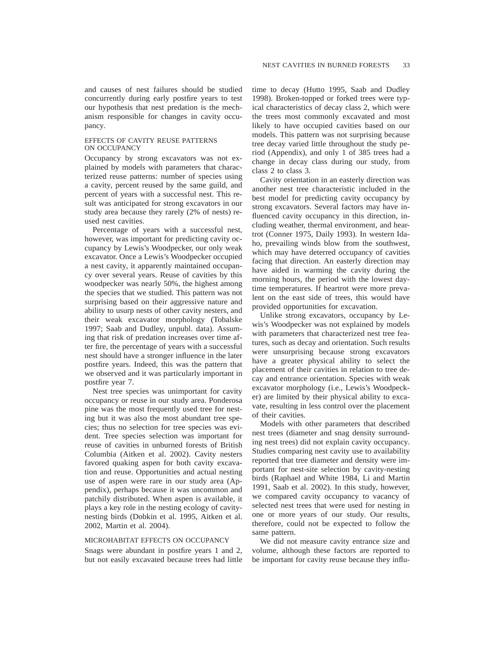and causes of nest failures should be studied concurrently during early postfire years to test our hypothesis that nest predation is the mechanism responsible for changes in cavity occupancy.

#### EFFECTS OF CAVITY REUSE PATTERNS ON OCCUPANCY

Occupancy by strong excavators was not explained by models with parameters that characterized reuse patterns: number of species using a cavity, percent reused by the same guild, and percent of years with a successful nest. This result was anticipated for strong excavators in our study area because they rarely (2% of nests) reused nest cavities.

Percentage of years with a successful nest, however, was important for predicting cavity occupancy by Lewis's Woodpecker, our only weak excavator. Once a Lewis's Woodpecker occupied a nest cavity, it apparently maintained occupancy over several years. Reuse of cavities by this woodpecker was nearly 50%, the highest among the species that we studied. This pattern was not surprising based on their aggressive nature and ability to usurp nests of other cavity nesters, and their weak excavator morphology (Tobalske 1997; Saab and Dudley, unpubl. data). Assuming that risk of predation increases over time after fire, the percentage of years with a successful nest should have a stronger influence in the later postfire years. Indeed, this was the pattern that we observed and it was particularly important in postfire year 7.

Nest tree species was unimportant for cavity occupancy or reuse in our study area. Ponderosa pine was the most frequently used tree for nesting but it was also the most abundant tree species; thus no selection for tree species was evident. Tree species selection was important for reuse of cavities in unburned forests of British Columbia (Aitken et al. 2002). Cavity nesters favored quaking aspen for both cavity excavation and reuse. Opportunities and actual nesting use of aspen were rare in our study area (Appendix), perhaps because it was uncommon and patchily distributed. When aspen is available, it plays a key role in the nesting ecology of cavitynesting birds (Dobkin et al. 1995, Aitken et al. 2002, Martin et al. 2004).

#### MICROHABITAT EFFECTS ON OCCUPANCY

Snags were abundant in postfire years 1 and 2, but not easily excavated because trees had little time to decay (Hutto 1995, Saab and Dudley 1998). Broken-topped or forked trees were typical characteristics of decay class 2, which were the trees most commonly excavated and most likely to have occupied cavities based on our models. This pattern was not surprising because tree decay varied little throughout the study period (Appendix), and only 1 of 385 trees had a change in decay class during our study, from class 2 to class 3.

Cavity orientation in an easterly direction was another nest tree characteristic included in the best model for predicting cavity occupancy by strong excavators. Several factors may have influenced cavity occupancy in this direction, including weather, thermal environment, and heartrot (Conner 1975, Daily 1993). In western Idaho, prevailing winds blow from the southwest, which may have deterred occupancy of cavities facing that direction. An easterly direction may have aided in warming the cavity during the morning hours, the period with the lowest daytime temperatures. If heartrot were more prevalent on the east side of trees, this would have provided opportunities for excavation.

Unlike strong excavators, occupancy by Lewis's Woodpecker was not explained by models with parameters that characterized nest tree features, such as decay and orientation. Such results were unsurprising because strong excavators have a greater physical ability to select the placement of their cavities in relation to tree decay and entrance orientation. Species with weak excavator morphology (i.e., Lewis's Woodpecker) are limited by their physical ability to excavate, resulting in less control over the placement of their cavities.

Models with other parameters that described nest trees (diameter and snag density surrounding nest trees) did not explain cavity occupancy. Studies comparing nest cavity use to availability reported that tree diameter and density were important for nest-site selection by cavity-nesting birds (Raphael and White 1984, Li and Martin 1991, Saab et al. 2002). In this study, however, we compared cavity occupancy to vacancy of selected nest trees that were used for nesting in one or more years of our study. Our results, therefore, could not be expected to follow the same pattern.

We did not measure cavity entrance size and volume, although these factors are reported to be important for cavity reuse because they influ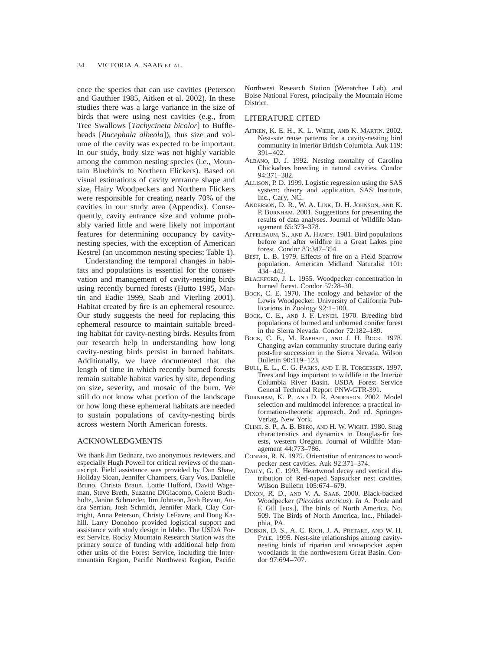ence the species that can use cavities (Peterson and Gauthier 1985, Aitken et al. 2002). In these studies there was a large variance in the size of birds that were using nest cavities (e.g., from Tree Swallows [*Tachycineta bicolor*] to Buffleheads [*Bucephala albeola*]), thus size and volume of the cavity was expected to be important. In our study, body size was not highly variable among the common nesting species (i.e., Mountain Bluebirds to Northern Flickers). Based on visual estimations of cavity entrance shape and size, Hairy Woodpeckers and Northern Flickers were responsible for creating nearly 70% of the cavities in our study area (Appendix). Consequently, cavity entrance size and volume probably varied little and were likely not important features for determining occupancy by cavitynesting species, with the exception of American Kestrel (an uncommon nesting species; Table 1).

Understanding the temporal changes in habitats and populations is essential for the conservation and management of cavity-nesting birds using recently burned forests (Hutto 1995, Martin and Eadie 1999, Saab and Vierling 2001). Habitat created by fire is an ephemeral resource. Our study suggests the need for replacing this ephemeral resource to maintain suitable breeding habitat for cavity-nesting birds. Results from our research help in understanding how long cavity-nesting birds persist in burned habitats. Additionally, we have documented that the length of time in which recently burned forests remain suitable habitat varies by site, depending on size, severity, and mosaic of the burn. We still do not know what portion of the landscape or how long these ephemeral habitats are needed to sustain populations of cavity-nesting birds across western North American forests.

# ACKNOWLEDGMENTS

We thank Jim Bednarz, two anonymous reviewers, and especially Hugh Powell for critical reviews of the manuscript. Field assistance was provided by Dan Shaw, Holiday Sloan, Jennifer Chambers, Gary Vos, Danielle Bruno, Christa Braun, Lottie Hufford, David Wageman, Steve Breth, Suzanne DiGiacomo, Colette Buchholtz, Janine Schroeder, Jim Johnson, Josh Bevan, Audra Serrian, Josh Schmidt, Jennifer Mark, Clay Cortright, Anna Peterson, Christy LeFavre, and Doug Kahill. Larry Donohoo provided logistical support and assistance with study design in Idaho. The USDA Forest Service, Rocky Mountain Research Station was the primary source of funding with additional help from other units of the Forest Service, including the Intermountain Region, Pacific Northwest Region, Pacific Northwest Research Station (Wenatchee Lab), and Boise National Forest, principally the Mountain Home District.

### LITERATURE CITED

- AITKEN, K. E. H., K. L. WIEBE, AND K. MARTIN. 2002. Nest-site reuse patterns for a cavity-nesting bird community in interior British Columbia. Auk 119: 391–402.
- ALBANO, D. J. 1992. Nesting mortality of Carolina Chickadees breeding in natural cavities. Condor 94:371–382.
- ALLISON, P. D. 1999. Logistic regression using the SAS system: theory and application. SAS Institute, Inc., Cary, NC.
- ANDERSON, D. R., W. A. LINK, D. H. JOHNSON, AND K. P. BURNHAM. 2001. Suggestions for presenting the results of data analyses. Journal of Wildlife Management 65:373–378.
- APFELBAUM, S., AND A. HANEY. 1981. Bird populations before and after wildfire in a Great Lakes pine forest. Condor 83:347–354.
- BEST, L. B. 1979. Effects of fire on a Field Sparrow population. American Midland Naturalist 101: 434–442.
- BLACKFORD, J. L. 1955. Woodpecker concentration in burned forest. Condor 57:28–30.
- BOCK, C. E. 1970. The ecology and behavior of the Lewis Woodpecker. University of California Publications in Zoology 92:1–100.
- BOCK, C. E., AND J. F. LYNCH. 1970. Breeding bird populations of burned and unburned conifer forest in the Sierra Nevada. Condor 72:182–189.
- BOCK, C. E., M. RAPHAEL, AND J. H. BOCK. 1978. Changing avian community structure during early post-fire succession in the Sierra Nevada. Wilson Bulletin 90:119–123.
- BULL, E. L., C. G. PARKS, AND T. R. TORGERSEN. 1997. Trees and logs important to wildlife in the Interior Columbia River Basin. USDA Forest Service General Technical Report PNW-GTR-391.
- BURNHAM, K. P., AND D. R. ANDERSON. 2002. Model selection and multimodel inference: a practical information-theoretic approach. 2nd ed. Springer-Verlag, New York.
- CLINE, S. P., A. B. BERG, AND H. W. WIGHT. 1980. Snag characteristics and dynamics in Douglas-fir forests, western Oregon. Journal of Wildlife Management 44:773–786.
- CONNER, R. N. 1975. Orientation of entrances to woodpecker nest cavities. Auk 92:371–374.
- DAILY, G. C. 1993. Heartwood decay and vertical distribution of Red-naped Sapsucker nest cavities. Wilson Bulletin 105:674–679.
- DIXON, R. D., AND V. A. SAAB. 2000. Black-backed Woodpecker (*Picoides arcticus*). *In* A. Poole and F. Gill [EDS.], The birds of North America, No. 509. The Birds of North America, Inc., Philadelphia, PA.
- DOBKIN, D. S., A. C. RICH, J. A. PRETARE, AND W. H. PYLE. 1995. Nest-site relationships among cavitynesting birds of riparian and snowpocket aspen woodlands in the northwestern Great Basin. Condor 97:694–707.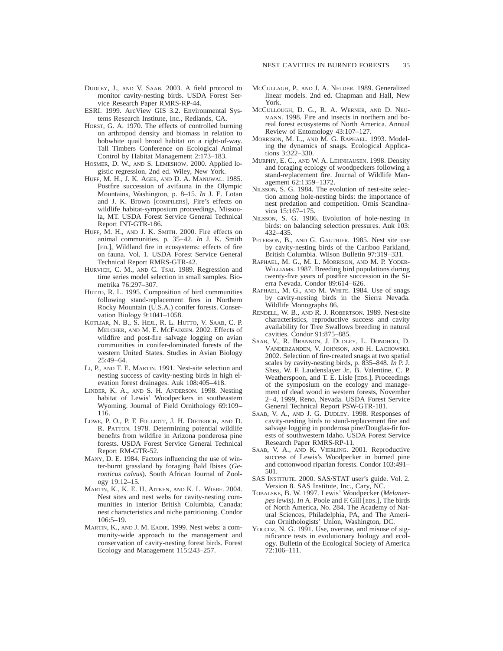- DUDLEY, J., AND V. SAAB. 2003. A field protocol to monitor cavity-nesting birds. USDA Forest Service Research Paper RMRS-RP-44.
- ESRI. 1999. ArcView GIS 3.2. Environmental Systems Research Institute, Inc., Redlands, CA.
- HORST, G. A. 1970. The effects of controlled burning on arthropod density and biomass in relation to bobwhite quail brood habitat on a right-of-way. Tall Timbers Conference on Ecological Animal Control by Habitat Management 2:173–183.
- HOSMER, D. W., AND S. LEMESHOW. 2000. Applied logistic regression. 2nd ed. Wiley, New York.
- HUFF, M. H., J. K. AGEE, AND D. A. MANUWAL. 1985. Postfire succession of avifauna in the Olympic Mountains, Washington, p. 8–15. *In* J. E. Lotan and J. K. Brown [COMPILERS], Fire's effects on wildlife habitat-symposium proceedings, Missoula, MT. USDA Forest Service General Technical Report INT-GTR-186.
- HUFF, M. H., AND J. K. SMITH. 2000. Fire effects on animal communities, p. 35–42. *In* J. K. Smith [ED.], Wildland fire in ecosystems: effects of fire on fauna. Vol. 1. USDA Forest Service General Technical Report RMRS-GTR-42.
- HURVICH, C. M., AND C. TSAI. 1989. Regression and time series model selection in small samples. Biometrika 76:297–307.
- HUTTO, R. L. 1995. Composition of bird communities following stand-replacement fires in Northern Rocky Mountain (U.S.A.) conifer forests. Conservation Biology 9:1041–1058.
- KOTLIAR, N. B., S. HEJL, R. L. HUTTO, V. SAAB, C. P. MELCHER, AND M. E. MCFADZEN. 2002. Effects of wildfire and post-fire salvage logging on avian communities in conifer-dominated forests of the western United States. Studies in Avian Biology 25:49–64.
- LI, P., AND T. E. MARTIN. 1991. Nest-site selection and nesting success of cavity-nesting birds in high elevation forest drainages. Auk 108:405–418.
- LINDER, K. A., AND S. H. ANDERSON. 1998. Nesting habitat of Lewis' Woodpeckers in southeastern Wyoming. Journal of Field Ornithology 69:109– 116.
- LOWE, P. O., P. F. FOLLIOTT, J. H. DIETERICH, AND D. R. PATTON. 1978. Determining potential wildlife benefits from wildfire in Arizona ponderosa pine forests. USDA Forest Service General Technical Report RM-GTR-52.
- MANY, D. E. 1984. Factors influencing the use of winter-burnt grassland by foraging Bald Ibises (*Geronticus calvus*). South African Journal of Zoology 19:12–15.
- MARTIN, K., K. E. H. AITKEN, AND K. L. WIEBE. 2004. Nest sites and nest webs for cavity-nesting communities in interior British Columbia, Canada: nest characteristics and niche partitioning. Condor 106:5–19.
- MARTIN, K., AND J. M. EADIE. 1999. Nest webs: a community-wide approach to the management and conservation of cavity-nesting forest birds. Forest Ecology and Management 115:243–257.
- MCCULLAGH, P., AND J. A. NELDER. 1989. Generalized linear models. 2nd ed. Chapman and Hall, New York.
- MCCULLOUGH, D. G., R. A. WERNER, AND D. NEU-MANN. 1998. Fire and insects in northern and boreal forest ecosystems of North America. Annual Review of Entomology 43:107–127.
- MORRISON, M. L., AND M. G. RAPHAEL. 1993. Modeling the dynamics of snags. Ecological Applications 3:322–330.
- MURPHY, E. C., AND W. A. LEHNHAUSEN. 1998. Density and foraging ecology of woodpeckers following a stand-replacement fire. Journal of Wildlife Management 62:1359–1372.
- NILSSON, S. G. 1984. The evolution of nest-site selection among hole-nesting birds: the importance of nest predation and competition. Ornis Scandinavica 15:167–175.
- NILSSON, S. G. 1986. Evolution of hole-nesting in birds: on balancing selection pressures. Auk 103: 432–435.
- PETERSON, B., AND G. GAUTHIER. 1985. Nest site use by cavity-nesting birds of the Cariboo Parkland, British Columbia. Wilson Bulletin 97:319–331.
- RAPHAEL, M. G., M. L. MORRISON, AND M. P. YODER-WILLIAMS. 1987. Breeding bird populations during twenty-five years of postfire succession in the Sierra Nevada. Condor 89:614–626.
- RAPHAEL, M. G., AND M. WHITE. 1984. Use of snags by cavity-nesting birds in the Sierra Nevada. Wildlife Monographs 86.
- RENDELL, W. B., AND R. J. ROBERTSON. 1989. Nest-site characteristics, reproductive success and cavity availability for Tree Swallows breeding in natural cavities. Condor 91:875–885.
- SAAB, V., R. BRANNON, J. DUDLEY, L. DONOHOO, D. VANDERZANDEN, V. JOHNSON, AND H. LACHOWSKI. 2002. Selection of fire-created snags at two spatial scales by cavity-nesting birds, p. 835–848. *In* P. J. Shea, W. F. Laudenslayer Jr., B. Valentine, C. P. Weatherspoon, and T. E. Lisle [EDS.], Proceedings of the symposium on the ecology and management of dead wood in western forests, November 2–4, 1999, Reno, Nevada. USDA Forest Service General Technical Report PSW-GTR-181.
- SAAB, V. A., AND J. G. DUDLEY. 1998. Responses of cavity-nesting birds to stand-replacement fire and salvage logging in ponderosa pine/Douglas-fir forests of southwestern Idaho. USDA Forest Service Research Paper RMRS-RP-11.
- SAAB, V. A., AND K. VIERLING. 2001. Reproductive success of Lewis's Woodpecker in burned pine and cottonwood riparian forests. Condor 103:491– 501.
- SAS INSTITUTE. 2000. SAS/STAT user's guide. Vol. 2. Version 8. SAS Institute, Inc., Cary, NC.
- TOBALSKE, B. W. 1997. Lewis' Woodpecker (*Melanerpes lewis*). *In* A. Poole and F. Gill [EDS.], The birds of North America, No. 284. The Academy of Natural Sciences, Philadelphia, PA, and The American Ornithologists' Union, Washington, DC.
- Yoccoz, N. G. 1991. Use, overuse, and misuse of significance tests in evolutionary biology and ecology. Bulletin of the Ecological Society of America 72:106–111.